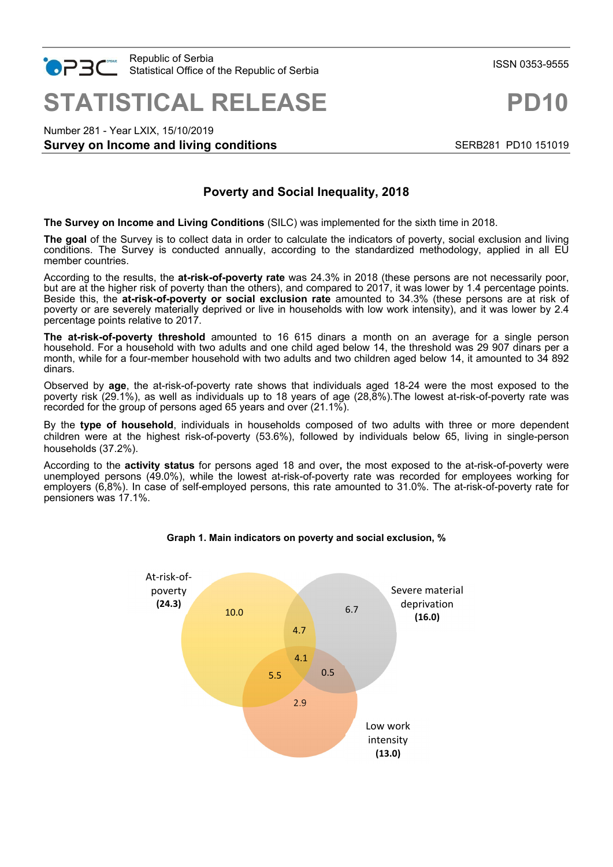

**STATISTICAL RELEASE PD10**

Number 281 - Year LXIX, 15/10/2019

# **Survey on Income and living conditions SERB281 PD10 151019** SERB281 PD10 151019

# **Poverty and Social Inequality, 2018**

**The Survey on Income and Living Conditions** (SILC) was implemented for the sixth time in 2018.

**The goal** of the Survey is to collect data in order to calculate the indicators of poverty, social exclusion and living conditions. The Survey is conducted annually, according to the standardized methodology, applied in all EU member countries.

According to the results, the **at-risk-of-poverty rate** was 24.3% in 2018 (these persons are not necessarily poor, but are at the higher risk of poverty than the others), and compared to 2017, it was lower by 1.4 percentage points. Beside this, the **at-risk-of-poverty or social exclusion rate** amounted to 34.3% (these persons are at risk of poverty or are severely materially deprived or live in households with low work intensity), and it was lower by 2.4 percentage points relative to 2017.

**The at-risk-of-poverty threshold** amounted to 16 615 dinars a month on an average for a single person household. For a household with two adults and one child aged below 14, the threshold was 29 907 dinars per a month, while for a four-member household with two adults and two children aged below 14, it amounted to 34 892 dinars.

Observed by **age**, the at-risk-of-poverty rate shows that individuals aged 18-24 were the most exposed to the poverty risk (29.1%), as well as individuals up to 18 years of age (28,8%).The lowest at-risk-of-poverty rate was recorded for the group of persons aged 65 years and over (21.1%).

By the **type of household**, individuals in households composed of two adults with three or more dependent children were at the highest risk-of-poverty (53.6%), followed by individuals below 65, living in single-person households (37.2%).

According to the **activity status** for persons aged 18 and over**,** the most exposed to the at-risk-of-poverty were unemployed persons (49.0%), while the lowest at-risk-of-poverty rate was recorded for employees working for employers (6,8%). In case of self-employed persons, this rate amounted to 31.0%. The at-risk-of-poverty rate for pensioners was 17.1%.



## **Graph 1. Main indicators on poverty and social exclusion, %**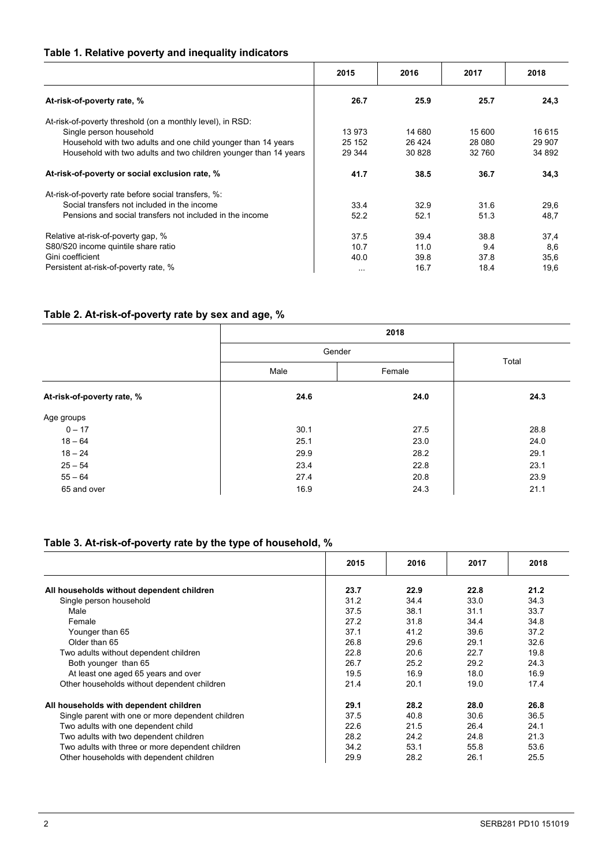# **Table 1. Relative poverty and inequality indicators**

|                                                                  | 2015     | 2016    | 2017   | 2018   |
|------------------------------------------------------------------|----------|---------|--------|--------|
| At-risk-of-poverty rate, %                                       | 26.7     | 25.9    | 25.7   | 24,3   |
| At-risk-of-poverty threshold (on a monthly level), in RSD:       |          |         |        |        |
| Single person household                                          | 13 973   | 14 680  | 15 600 | 16 615 |
| Household with two adults and one child younger than 14 years    | 25 152   | 26 4 24 | 28 080 | 29 907 |
| Household with two adults and two children younger than 14 years | 29 344   | 30828   | 32 760 | 34 892 |
| At-risk-of-poverty or social exclusion rate, %                   | 41.7     | 38.5    | 36.7   | 34,3   |
| At-risk-of-poverty rate before social transfers, %:              |          |         |        |        |
| Social transfers not included in the income                      | 33.4     | 32.9    | 31.6   | 29,6   |
| Pensions and social transfers not included in the income         | 52.2     | 52.1    | 51.3   | 48,7   |
| Relative at-risk-of-poverty gap, %                               | 37.5     | 39.4    | 38.8   | 37,4   |
| S80/S20 income quintile share ratio                              | 10.7     | 11.0    | 9.4    | 8,6    |
| Gini coefficient                                                 | 40.0     | 39.8    | 37.8   | 35,6   |
| Persistent at-risk-of-poverty rate, %                            | $\cdots$ | 16.7    | 18.4   | 19,6   |

# **Table 2. At-risk-of-poverty rate by sex and age, %**

|                            |                | 2018  |      |  |  |
|----------------------------|----------------|-------|------|--|--|
|                            | Gender         | Total |      |  |  |
|                            | Male<br>Female |       |      |  |  |
| At-risk-of-poverty rate, % | 24.6           | 24.0  | 24.3 |  |  |
| Age groups                 |                |       |      |  |  |
| $0 - 17$                   | 30.1           | 27.5  | 28.8 |  |  |
| $18 - 64$                  | 25.1           | 23.0  | 24.0 |  |  |
| $18 - 24$                  | 29.9           | 28.2  | 29.1 |  |  |
| $25 - 54$                  | 23.4           | 22.8  | 23.1 |  |  |
| $55 - 64$                  | 27.4           | 20.8  | 23.9 |  |  |
| 65 and over                | 16.9           | 24.3  | 21.1 |  |  |

# **Table 3. At-risk-of-poverty rate by the type of household, %**

|                                                   | 2015 | 2016 | 2017 | 2018 |
|---------------------------------------------------|------|------|------|------|
| All households without dependent children         | 23.7 | 22.9 | 22.8 | 21.2 |
| Single person household                           | 31.2 | 34.4 | 33.0 | 34.3 |
| Male                                              | 37.5 | 38.1 | 31.1 | 33.7 |
| Female                                            | 27.2 | 31.8 | 34.4 | 34.8 |
| Younger than 65                                   | 37.1 | 41.2 | 39.6 | 37.2 |
| Older than 65                                     | 26.8 | 29.6 | 29.1 | 32.6 |
| Two adults without dependent children             | 22.8 | 20.6 | 22.7 | 19.8 |
| Both younger than 65                              | 26.7 | 25.2 | 29.2 | 24.3 |
| At least one aged 65 years and over               | 19.5 | 16.9 | 18.0 | 16.9 |
| Other households without dependent children       | 21.4 | 20.1 | 19.0 | 17.4 |
| All households with dependent children            | 29.1 | 28.2 | 28.0 | 26.8 |
| Single parent with one or more dependent children | 37.5 | 40.8 | 30.6 | 36.5 |
| Two adults with one dependent child               | 22.6 | 21.5 | 26.4 | 24.1 |
| Two adults with two dependent children            | 28.2 | 24.2 | 24.8 | 21.3 |
| Two adults with three or more dependent children  | 34.2 | 53.1 | 55.8 | 53.6 |
| Other households with dependent children          | 29.9 | 28.2 | 26.1 | 25.5 |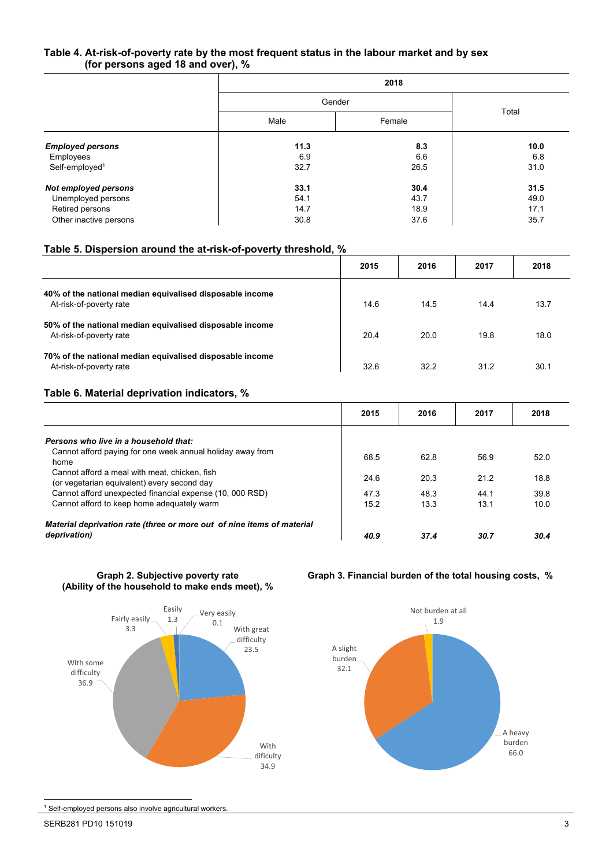### **Table 4. At-risk-of-poverty rate by the most frequent status in the labour market and by sex (for persons aged 18 and over), %**

|                            |      | 2018   |       |  |  |
|----------------------------|------|--------|-------|--|--|
|                            |      | Gender |       |  |  |
|                            | Male | Female | Total |  |  |
| <b>Employed persons</b>    | 11.3 | 8.3    | 10.0  |  |  |
| Employees                  | 6.9  | 6.6    | 6.8   |  |  |
| Self-employed <sup>1</sup> | 32.7 | 26.5   | 31.0  |  |  |
| Not employed persons       | 33.1 | 30.4   | 31.5  |  |  |
| Unemployed persons         | 54.1 | 43.7   | 49.0  |  |  |
| Retired persons            | 14.7 | 18.9   | 17.1  |  |  |
| Other inactive persons     | 30.8 | 37.6   | 35.7  |  |  |

# **Table 5. Dispersion around the at-risk-of-poverty threshold, %**

|                                                                                     | 2015 | 2016 | 2017 | 2018 |
|-------------------------------------------------------------------------------------|------|------|------|------|
| 40% of the national median equivalised disposable income<br>At-risk-of-poverty rate | 14.6 | 14.5 | 14.4 | 13.7 |
| 50% of the national median equivalised disposable income<br>At-risk-of-poverty rate | 20.4 | 20.0 | 19.8 | 18.0 |
| 70% of the national median equivalised disposable income<br>At-risk-of-poverty rate | 32.6 | 32.2 | 31.2 | 30.1 |

## **Table 6. Material deprivation indicators, %**

|                                                                                              | 2015 | 2016 | 2017 | 2018 |
|----------------------------------------------------------------------------------------------|------|------|------|------|
| Persons who live in a household that:                                                        |      |      |      |      |
| Cannot afford paying for one week annual holiday away from<br>home                           | 68.5 | 62.8 | 56.9 | 52.0 |
| Cannot afford a meal with meat, chicken, fish<br>(or vegetarian equivalent) every second day | 24.6 | 20.3 | 21.2 | 18.8 |
| Cannot afford unexpected financial expense (10, 000 RSD)                                     | 47.3 | 48.3 | 44.1 | 39.8 |
| Cannot afford to keep home adequately warm                                                   | 15.2 | 13.3 | 13.1 | 10.0 |
| Material deprivation rate (three or more out of nine items of material                       |      |      |      |      |
| deprivation)                                                                                 | 40.9 | 37.4 | 30.7 | 30.4 |

**Graph 2. Subjective poverty rate (Ability of the household to make ends meet), %** 



## **Graph 3. Financial burden of the total housing costs, %**



1 Self-employed persons also involve agricultural workers.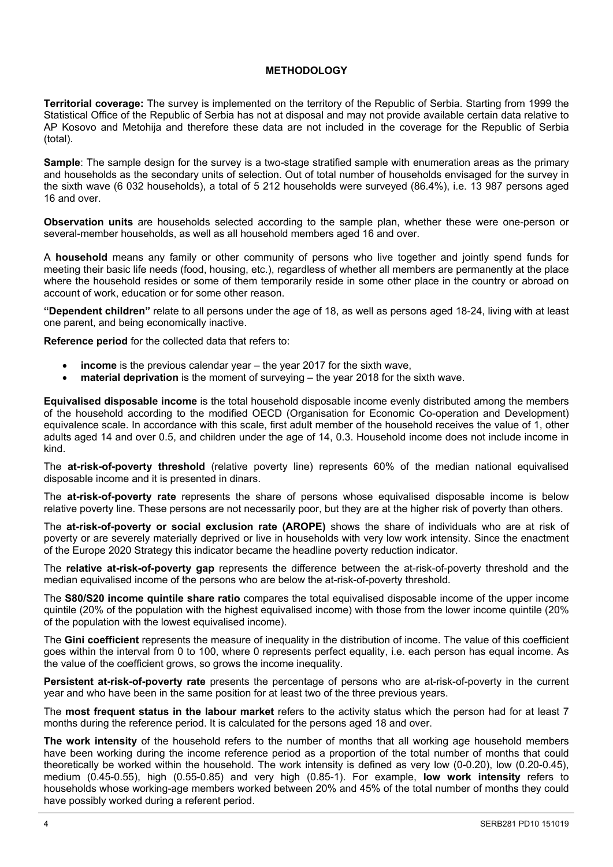## **METHODOLOGY**

**Territorial coverage:** The survey is implemented on the territory of the Republic of Serbia. Starting from 1999 the Statistical Office of the Republic of Serbia has not at disposal and may not provide available certain data relative to AP Kosovo and Metohija and therefore these data are not included in the coverage for the Republic of Serbia (total).

**Sample**: The sample design for the survey is a two-stage stratified sample with enumeration areas as the primary and households as the secondary units of selection. Out of total number of households envisaged for the survey in the sixth wave (6 032 households), a total of 5 212 households were surveyed (86.4%), i.e. 13 987 persons aged 16 and over.

**Observation units** are households selected according to the sample plan, whether these were one-person or several-member households, as well as all household members aged 16 and over.

A **household** means any family or other community of persons who live together and jointly spend funds for meeting their basic life needs (food, housing, etc.), regardless of whether all members are permanently at the place where the household resides or some of them temporarily reside in some other place in the country or abroad on account of work, education or for some other reason.

**"Dependent children"** relate to all persons under the age of 18, as well as persons aged 18-24, living with at least one parent, and being economically inactive.

**Reference period** for the collected data that refers to:

- **income** is the previous calendar year the year 2017 for the sixth wave,
- **material deprivation** is the moment of surveying the year 2018 for the sixth wave.

**Equivalised disposable income** is the total household disposable income evenly distributed among the members of the household according to the modified OECD (Organisation for Economic Co-operation and Development) equivalence scale. In accordance with this scale, first adult member of the household receives the value of 1, other adults aged 14 and over 0.5, and children under the age of 14, 0.3. Household income does not include income in kind.

The **at-risk-of-poverty threshold** (relative poverty line) represents 60% of the median national equivalised disposable income and it is presented in dinars.

The **at-risk-of-poverty rate** represents the share of persons whose equivalised disposable income is below relative poverty line. These persons are not necessarily poor, but they are at the higher risk of poverty than others.

The **at-risk-of-poverty or social exclusion rate (AROPE)** shows the share of individuals who are at risk of poverty or are severely materially deprived or live in households with very low work intensity. Since the enactment of the Europe 2020 Strategy this indicator became the headline poverty reduction indicator.

The **relative at-risk-of-poverty gap** represents the difference between the at-risk-of-poverty threshold and the median equivalised income of the persons who are below the at-risk-of-poverty threshold.

The **S80/S20 income quintile share ratio** compares the total equivalised disposable income of the upper income quintile (20% of the population with the highest equivalised income) with those from the lower income quintile (20% of the population with the lowest equivalised income).

The **Gini coefficient** represents the measure of inequality in the distribution of income. The value of this coefficient goes within the interval from 0 to 100, where 0 represents perfect equality, i.e. each person has equal income. As the value of the coefficient grows, so grows the income inequality.

**Persistent at-risk-of-poverty rate** presents the percentage of persons who are at-risk-of-poverty in the current year and who have been in the same position for at least two of the three previous years.

The **most frequent status in the labour market** refers to the activity status which the person had for at least 7 months during the reference period. It is calculated for the persons aged 18 and over.

**The work intensity** of the household refers to the number of months that all working age household members have been working during the income reference period as a proportion of the total number of months that could theoretically be worked within the household. The work intensity is defined as very low (0-0.20), low (0.20-0.45), medium (0.45-0.55), high (0.55-0.85) and very high (0.85-1). For example, **low work intensity** refers to households whose working-age members worked between 20% and 45% of the total number of months they could have possibly worked during a referent period.